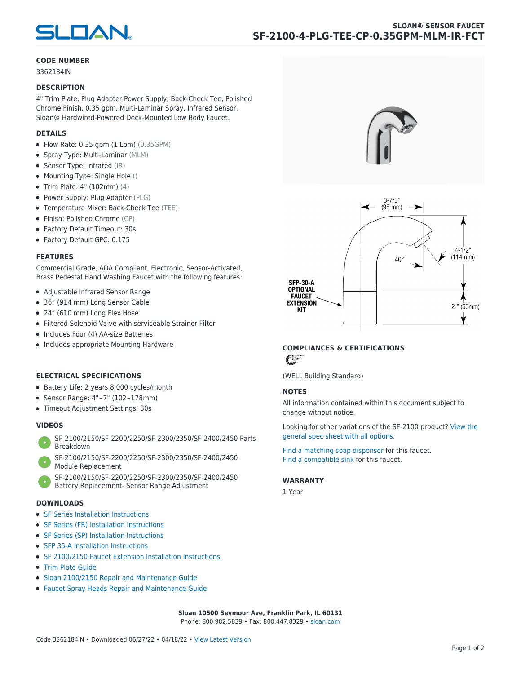

### **CODE NUMBER**

3362184IN

### **DESCRIPTION**

4" Trim Plate, Plug Adapter Power Supply, Back-Check Tee, Polished Chrome Finish, 0.35 gpm, Multi-Laminar Spray, Infrared Sensor, Sloan® Hardwired-Powered Deck-Mounted Low Body Faucet.

# **DETAILS**

- $\bullet$  Flow Rate: 0.35 gpm (1 Lpm) (0.35GPM)
- Spray Type: Multi-Laminar (MLM)
- Sensor Type: Infrared (IR)
- Mounting Type: Single Hole ()
- Trim Plate: 4" (102mm) (4)
- Power Supply: Plug Adapter (PLG)
- Temperature Mixer: Back-Check Tee (TEE)
- Finish: Polished Chrome (CP)
- Factory Default Timeout: 30s
- Factory Default GPC: 0.175

### **FEATURES**

Commercial Grade, ADA Compliant, Electronic, Sensor-Activated, Brass Pedestal Hand Washing Faucet with the following features:

- Adjustable Infrared Sensor Range
- 36" (914 mm) Long Sensor Cable
- 24" (610 mm) Long Flex Hose
- Filtered Solenoid Valve with serviceable Strainer Filter
- Includes Four (4) AA-size Batteries
- Includes appropriate Mounting Hardware

# **ELECTRICAL SPECIFICATIONS**

- Battery Life: 2 years 8,000 cycles/month
- Sensor Range: 4" – 7" (102 – 178mm)
- Timeout Adjustment Settings: 30s

# **VIDEOS**

- [SF-2100/2150/SF-2200/2250/SF-2300/2350/SF-2400/2450 Parts](https://vimeo.com/307089947) [Breakdown](https://vimeo.com/307089947)
- [SF-2100/2150/SF-2200/2250/SF-2300/2350/SF-2400/2450](https://vimeo.com/307087494) [Module Replacement](https://vimeo.com/307087494)
- [SF-2100/2150/SF-2200/2250/SF-2300/2350/SF-2400/2450](https://vimeo.com/307085279) [Battery Replacement- Sensor Range Adjustment](https://vimeo.com/307085279)

#### **DOWNLOADS**

- [SF Series Installation Instructions](https://en.sloan.com/sites/default/files/2018-02/II0816496Rev5_0.pdf)
- [SF Series \(FR\) Installation Instructions](https://en.sloan.com/sites/default/files/2015-12/0816563-fr.pdf)
- [SF Series \(SP\) Installation Instructions](https://en.sloan.com/sites/default/files/2022-03/0816568SP_Rev2.pdf)
- [SFP 35-A Installation Instructions](https://en.sloan.com/sites/default/files/2015-12/0816817.pdf)
- [SF 2100/2150 Faucet Extension Installation Instructions](https://en.sloan.com/sites/default/files/2015-12/0816736.pdf)
- [Trim Plate Guide](https://en.sloan.com/sites/default/files/2020-03/Trim_PlatesAllFaucets.pdf)
- [Sloan 2100/2150 Repair and Maintenance Guide](https://en.sloan.com/sites/default/files/2022-06/Sloan-SF-2100-2150.pdf)
- [Faucet Spray Heads Repair and Maintenance Guide](https://en.sloan.com/sites/default/files/2020-03/Optima-OptimaPlusFaucet_Spray_Heads.pdf)





# **COMPLIANCES & CERTIFICATIONS**

 $\epsilon$ 

(WELL Building Standard)

# **NOTES**

All information contained within this document subject to change without notice.

[Looking for other variations of the SF-2100 product? View the](https://en.sloan.com/general-spec/576) [general spec sheet with all options.](https://en.sloan.com/general-spec/576)

[Find a matching soap dispenser](https://en.sloan.com/commercial-bathroom-products/soap-dispensers) for this faucet. [Find a compatible sink](https://en.sloan.com/commercial-bathroom-products/sinks) for this faucet.

#### **WARRANTY**

1 Year

**Sloan 10500 Seymour Ave, Franklin Park, IL 60131** Phone: 800.982.5839 • Fax: 800.447.8329 • [sloan.com](https://www.sloan.com)